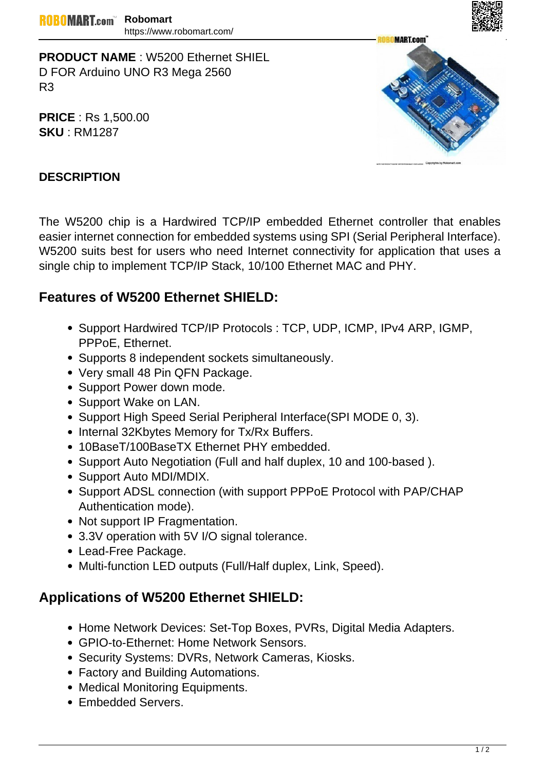

**PRODUCT NAME** : W5200 Ethernet SHIEL D FOR Arduino UNO R3 Mega 2560 R3

**PRICE** : Rs 1,500.00 **SKU** : RM1287



## **DESCRIPTION**

The W5200 chip is a Hardwired TCP/IP embedded Ethernet controller that enables easier internet connection for embedded systems using SPI (Serial Peripheral Interface). W5200 suits best for users who need Internet connectivity for application that uses a single chip to implement TCP/IP Stack, 10/100 Ethernet MAC and PHY.

## **Features of W5200 Ethernet SHIELD:**

- Support Hardwired TCP/IP Protocols : TCP, UDP, ICMP, IPv4 ARP, IGMP, PPPoE, Ethernet.
- Supports 8 independent sockets simultaneously.
- Very small 48 Pin QFN Package.
- Support Power down mode.
- Support Wake on LAN.
- Support High Speed Serial Peripheral Interface (SPI MODE 0, 3).
- Internal 32Kbytes Memory for Tx/Rx Buffers.
- 10BaseT/100BaseTX Ethernet PHY embedded.
- Support Auto Negotiation (Full and half duplex, 10 and 100-based).
- Support Auto MDI/MDIX.
- Support ADSL connection (with support PPPoE Protocol with PAP/CHAP Authentication mode).
- Not support IP Fragmentation.
- 3.3V operation with 5V I/O signal tolerance.
- Lead-Free Package.
- Multi-function LED outputs (Full/Half duplex, Link, Speed).

## **Applications of W5200 Ethernet SHIELD:**

- Home Network Devices: Set-Top Boxes, PVRs, Digital Media Adapters.
- GPIO-to-Ethernet: Home Network Sensors.
- Security Systems: DVRs, Network Cameras, Kiosks.
- Factory and Building Automations.
- Medical Monitoring Equipments.
- Embedded Servers.